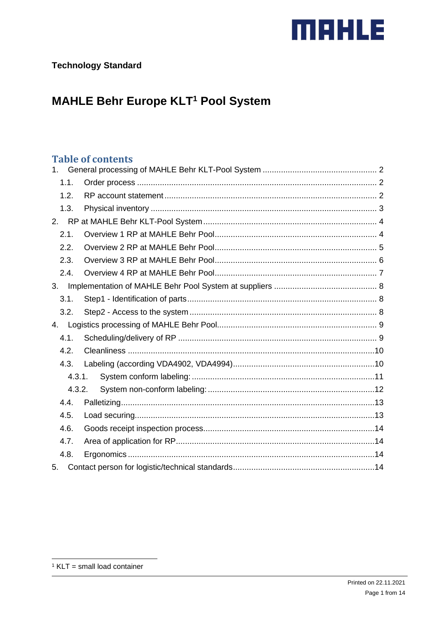

# **MAHLE Behr Europe KLT<sup>1</sup> Pool System**

# **Table of contents**

| 1 <sub>1</sub> |  |
|----------------|--|
| 1.1.           |  |
| 1.2.           |  |
| 1.3.           |  |
| 2.             |  |
| 2.1.           |  |
| 2.2.           |  |
| 2.3.           |  |
| 2.4.           |  |
| 3.             |  |
| 3.1.           |  |
| 3.2.           |  |
| 4.             |  |
| 4.1.           |  |
| 4.2.           |  |
| 4.3.           |  |
| 4.3.1.         |  |
| 4.3.2.         |  |
| 4.4.           |  |
| 4.5.           |  |
| 4.6.           |  |
| 4.7.           |  |
| 4.8.           |  |
| 5.             |  |

 $1$  KLT = small load container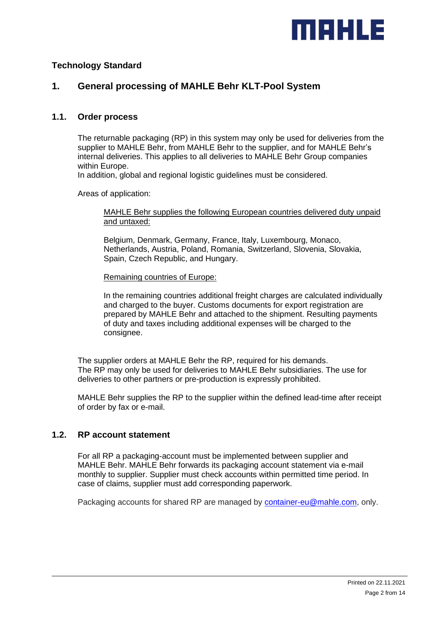

### <span id="page-1-0"></span>**1. General processing of MAHLE Behr KLT-Pool System**

#### <span id="page-1-1"></span>**1.1. Order process**

The returnable packaging (RP) in this system may only be used for deliveries from the supplier to MAHLE Behr, from MAHLE Behr to the supplier, and for MAHLE Behr's internal deliveries. This applies to all deliveries to MAHLE Behr Group companies within Europe.

In addition, global and regional logistic guidelines must be considered.

Areas of application:

MAHLE Behr supplies the following European countries delivered duty unpaid and untaxed:

Belgium, Denmark, Germany, France, Italy, Luxembourg, Monaco, Netherlands, Austria, Poland, Romania, Switzerland, Slovenia, Slovakia, Spain, Czech Republic, and Hungary.

#### Remaining countries of Europe:

In the remaining countries additional freight charges are calculated individually and charged to the buyer. Customs documents for export registration are prepared by MAHLE Behr and attached to the shipment. Resulting payments of duty and taxes including additional expenses will be charged to the consignee.

The supplier orders at MAHLE Behr the RP, required for his demands. The RP may only be used for deliveries to MAHLE Behr subsidiaries. The use for deliveries to other partners or pre-production is expressly prohibited.

MAHLE Behr supplies the RP to the supplier within the defined lead-time after receipt of order by fax or e-mail.

#### <span id="page-1-2"></span>**1.2. RP account statement**

For all RP a packaging-account must be implemented between supplier and MAHLE Behr. MAHLE Behr forwards its packaging account statement via e-mail monthly to supplier. Supplier must check accounts within permitted time period. In case of claims, supplier must add corresponding paperwork.

Packaging accounts for shared RP are managed by [container-eu@mahle.com,](mailto:scm.container@mahle.com) only.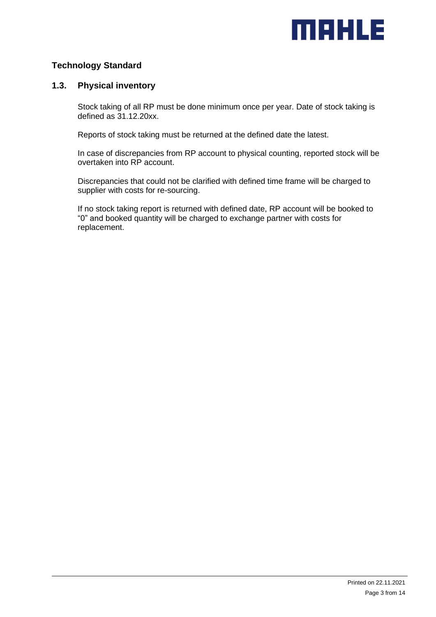

#### <span id="page-2-0"></span>**1.3. Physical inventory**

Stock taking of all RP must be done minimum once per year. Date of stock taking is defined as 31.12.20xx.

Reports of stock taking must be returned at the defined date the latest.

In case of discrepancies from RP account to physical counting, reported stock will be overtaken into RP account.

Discrepancies that could not be clarified with defined time frame will be charged to supplier with costs for re-sourcing.

If no stock taking report is returned with defined date, RP account will be booked to "0" and booked quantity will be charged to exchange partner with costs for replacement.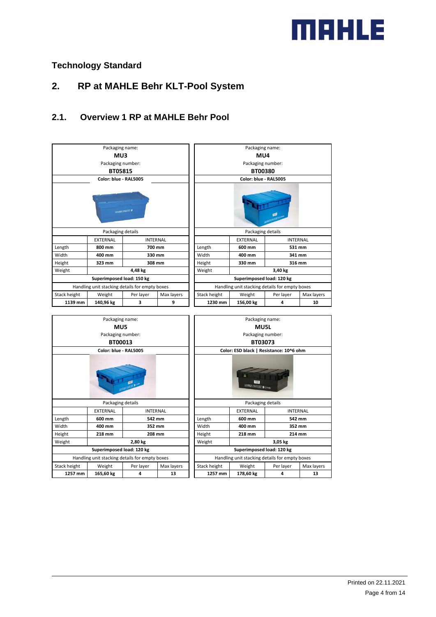

# <span id="page-3-0"></span>**2. RP at MAHLE Behr KLT-Pool System**

## <span id="page-3-1"></span>**2.1. Overview 1 RP at MAHLE Behr Pool**

|                                                | Packaging name:           |                     |                 | Packaging name:                                |                       |                 |            |  |
|------------------------------------------------|---------------------------|---------------------|-----------------|------------------------------------------------|-----------------------|-----------------|------------|--|
|                                                | MU3                       |                     |                 | MU4                                            |                       |                 |            |  |
|                                                | Packaging number:         |                     |                 |                                                | Packaging number:     |                 |            |  |
|                                                | BT05815                   |                     |                 |                                                | <b>BT00380</b>        |                 |            |  |
|                                                | Color: blue - RAL5005     |                     |                 |                                                | Color: blue - RAL5005 |                 |            |  |
|                                                |                           | <b>COMMITMENT 3</b> |                 |                                                |                       |                 |            |  |
|                                                | Packaging details         |                     |                 | Packaging details                              |                       |                 |            |  |
|                                                | <b>EXTERNAL</b>           |                     | <b>INTERNAL</b> |                                                | <b>EXTERNAL</b>       | <b>INTERNAL</b> |            |  |
| Length                                         | 800 mm                    |                     | 700 mm          | Length                                         | 600 mm                | 531 mm          |            |  |
| Width                                          | 400 mm                    |                     | 330 mm          | Width                                          | 400 mm                | 341 mm          |            |  |
| Height                                         | 323 mm                    |                     | 308 mm          | Height                                         | 330 mm                | 316 mm          |            |  |
| Weight                                         |                           | 4,48 kg             |                 | Weight                                         | 3,40 kg               |                 |            |  |
|                                                | Superimposed load: 150 kg |                     |                 | Superimposed load: 120 kg                      |                       |                 |            |  |
| Handling unit stacking details for empty boxes |                           |                     |                 | Handling unit stacking details for empty boxes |                       |                 |            |  |
| Stack height                                   | Weight                    | Per layer           | Max layers      | Stack height                                   | Weight                | Per layer       | Max layers |  |
| 1139 mm                                        | 140,96 kg                 | з                   | 9               | 1230 mm                                        | 156,00 kg             | 4               | 10         |  |
|                                                |                           |                     |                 |                                                |                       |                 |            |  |

|              | Packaging name:                                |           |                 | Packaging name:           |                                                |                 |            |  |  |
|--------------|------------------------------------------------|-----------|-----------------|---------------------------|------------------------------------------------|-----------------|------------|--|--|
|              | MU5                                            |           |                 | <b>MU5L</b>               |                                                |                 |            |  |  |
|              | Packaging number:                              |           |                 |                           | Packaging number:                              |                 |            |  |  |
|              | BT00013                                        |           |                 |                           | BT03073                                        |                 |            |  |  |
|              | Color: blue - RAL5005                          |           |                 |                           | Color: ESD black   Resistance: 10^6 ohm        |                 |            |  |  |
|              |                                                |           |                 |                           | <b>MUSH PANK 5 OFFICE</b>                      |                 |            |  |  |
|              | Packaging details                              |           |                 | Packaging details         |                                                |                 |            |  |  |
|              | <b>EXTERNAL</b>                                |           | <b>INTERNAL</b> |                           | <b>EXTERNAL</b>                                | <b>INTERNAL</b> |            |  |  |
| Length       | 600 mm                                         |           | 542 mm          | Length                    | 600 mm                                         | 542 mm          |            |  |  |
| Width        | 400 mm                                         |           | 352 mm          | Width                     | 400 mm                                         | 352 mm          |            |  |  |
| Height       | 218 mm                                         |           | 208 mm          | Height                    | 218 mm                                         | 214 mm          |            |  |  |
| Weight       |                                                | 2,80 kg   |                 | Weight                    | 3,05 kg                                        |                 |            |  |  |
|              | Superimposed load: 120 kg                      |           |                 | Superimposed load: 120 kg |                                                |                 |            |  |  |
|              | Handling unit stacking details for empty boxes |           |                 |                           | Handling unit stacking details for empty boxes |                 |            |  |  |
| Stack height | Weight                                         | Per layer | Max layers      | Stack height              | Weight                                         | Per layer       | Max layers |  |  |
| 1257 mm      | 165,60 kg                                      | 4         | 13              | 1257 mm                   | 178,60 kg                                      | 4               | 13         |  |  |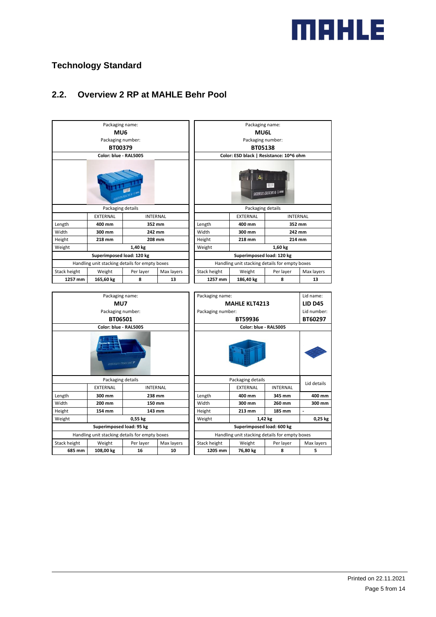

## <span id="page-4-0"></span>**2.2. Overview 2 RP at MAHLE Behr Pool**

|              | Packaging name:                                |           |                 | Packaging name:                                |                   |                                         |                |  |
|--------------|------------------------------------------------|-----------|-----------------|------------------------------------------------|-------------------|-----------------------------------------|----------------|--|
|              | MU <sub>6</sub>                                |           |                 | MU6L                                           |                   |                                         |                |  |
|              | Packaging number:                              |           |                 | Packaging number:                              |                   |                                         |                |  |
|              | BT00379                                        |           |                 |                                                | BT05138           |                                         |                |  |
|              | Color: blue - RAL5005                          |           |                 |                                                |                   | Color: ESD black   Resistance: 10^6 ohm |                |  |
|              |                                                |           |                 | <b>COULD PACK 6 0=</b>                         |                   |                                         |                |  |
|              | Packaging details                              |           |                 |                                                | Packaging details |                                         |                |  |
|              | EXTERNAL                                       |           | <b>INTERNAL</b> |                                                | <b>EXTERNAL</b>   | <b>INTERNAL</b>                         |                |  |
| Length       | 400 mm                                         |           | 352 mm          | Length                                         | 400 mm            | 352 mm                                  |                |  |
| Width        | 300 mm                                         |           | 242 mm          | Width                                          | 300 mm            | 242 mm                                  |                |  |
| Height       | 218 mm                                         |           | 208 mm          | Height                                         | 218 mm            | 214 mm                                  |                |  |
| Weight       |                                                | 1,40 kg   |                 | Weight<br>1,60 kg                              |                   |                                         |                |  |
|              | Superimposed load: 120 kg                      |           |                 | Superimposed load: 120 kg                      |                   |                                         |                |  |
|              | Handling unit stacking details for empty boxes |           |                 | Handling unit stacking details for empty boxes |                   |                                         |                |  |
| Stack height | Weight                                         | Per layer | Max layers      | Stack height                                   | Weight            | Per layer                               | Max layers     |  |
| 1257 mm      | 165,60 kg                                      | 8         | 13              | 1257 mm                                        | 186,40 kg         | 8                                       | 13             |  |
|              |                                                |           |                 |                                                |                   |                                         |                |  |
|              | Packaging name:                                |           |                 | Packaging name:                                | Lid name:         |                                         |                |  |
|              | MU7                                            |           |                 | <b>MAHLE KLT4213</b>                           |                   |                                         | <b>LID D45</b> |  |
|              | Packaging number:                              |           |                 | Packaging number:                              | Lid number:       |                                         |                |  |
|              | BT06501                                        |           |                 | BT59936                                        |                   |                                         | BT60297        |  |
|              | Color: blue - RAL5005                          |           |                 | Color: blue - RAL5005                          |                   |                                         |                |  |
|              | COUNTRY CRAY BY 7                              |           |                 |                                                |                   |                                         |                |  |
|              | Packaging details                              |           |                 |                                                | Packaging details |                                         |                |  |
|              | <b>EXTERNAL</b>                                |           | <b>INTERNAL</b> | <b>EXTERNAL</b><br><b>INTERNAL</b>             |                   |                                         | Lid details    |  |

Length **300 mm 238 mm** Length **400 mm 345 mm 400 mm** Width **200 mm 150 mm** Width **300 mm 260 mm 300 mm** Height **154 mm 143 mm** Height **213 mm 185 mm -** Weight **0,55 kg** Weight **1,42 kg 0,25 kg Superimposed load: 95 kg Superimposed load: 600 kg**

Handling unit stacking details for empty boxes<br>
<br>
Fandling unit stacking details for empty boxes in the stack height weight Per layer<br>
Max layers Max layers Stack height | Weight | Per layer | Max layers | Stack height | Weight | Per layer | Max layers **685 mm 108,00 kg 16 10 1205 mm 76,80 kg 8 5**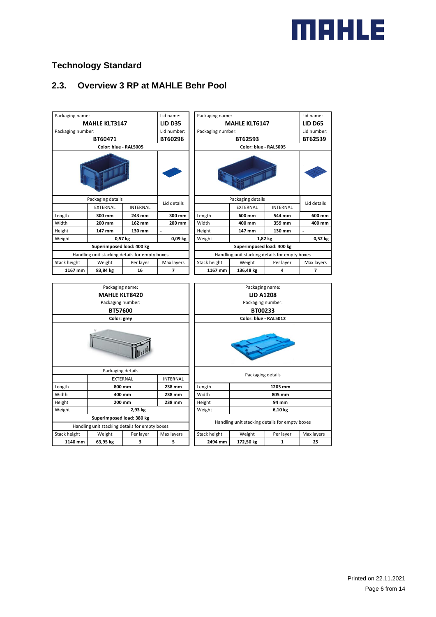# **MAHLE**

# **Technology Standard**

# <span id="page-5-0"></span>**2.3. Overview 3 RP at MAHLE Behr Pool**

| Packaging name:                                |                       |                 | Lid name:            | Packaging name:<br>Lid name:                   |                       |                 |             |  |
|------------------------------------------------|-----------------------|-----------------|----------------------|------------------------------------------------|-----------------------|-----------------|-------------|--|
| <b>MAHLE KLT3147</b>                           |                       | <b>LID D35</b>  | <b>MAHLE KLT6147</b> |                                                | <b>LID D65</b>        |                 |             |  |
| Packaging number:                              |                       |                 | Lid number:          | Packaging number:                              |                       |                 | Lid number: |  |
|                                                | BT60471               |                 | BT60296              |                                                | BT62593               |                 | BT62539     |  |
|                                                | Color: blue - RAL5005 |                 |                      |                                                | Color: blue - RAL5005 |                 |             |  |
|                                                |                       |                 |                      |                                                |                       |                 |             |  |
|                                                | Packaging details     |                 |                      | Packaging details                              |                       |                 |             |  |
|                                                | <b>EXTERNAL</b>       | <b>INTERNAL</b> | Lid details          |                                                | <b>EXTERNAL</b>       | <b>INTERNAL</b> | Lid details |  |
| Length                                         | 300 mm                | 243 mm          | 300 mm               | Length                                         | 600 mm                | 544 mm          | 600 mm      |  |
| Width                                          | 200 mm                | 162 mm          | 200 mm               | Width                                          | 400 mm                | 359 mm          | 400 mm      |  |
| Height                                         | 147 mm                | 130 mm          |                      | Height                                         | 147 mm                | 130 mm          |             |  |
| Weight                                         |                       | 0,57 kg         | 0,09 kg              | Weight<br>1,82 kg                              |                       |                 | 0,52 kg     |  |
| Superimposed load: 400 kg                      |                       |                 |                      | Superimposed load: 400 kg                      |                       |                 |             |  |
| Handling unit stacking details for empty boxes |                       |                 |                      | Handling unit stacking details for empty boxes |                       |                 |             |  |
| Stack height                                   | Weight                | Per layer       | Max layers           | Stack height<br>Weight<br>Per layer            |                       |                 | Max layers  |  |
|                                                | 83,84 kg              | 16              | 7                    | 1167 mm                                        | 136,48 kg             | 4               | 7           |  |

|              | Packaging name:                                |                 |                 | Packaging name:   |                       |                                                |            |  |
|--------------|------------------------------------------------|-----------------|-----------------|-------------------|-----------------------|------------------------------------------------|------------|--|
|              | <b>MAHLE KLT8420</b>                           |                 |                 | <b>LID A1208</b>  |                       |                                                |            |  |
|              | Packaging number:                              |                 |                 |                   | Packaging number:     |                                                |            |  |
|              | BT57600                                        |                 |                 |                   | BT00233               |                                                |            |  |
|              | Color: grey                                    |                 |                 |                   | Color: blue - RAL5012 |                                                |            |  |
|              |                                                |                 |                 |                   |                       |                                                |            |  |
|              | Packaging details                              |                 |                 |                   |                       |                                                |            |  |
|              |                                                | <b>EXTERNAL</b> | <b>INTERNAL</b> | Packaging details |                       |                                                |            |  |
| Length       | 800 mm                                         |                 | 238 mm          | Length            | 1205 mm               |                                                |            |  |
| Width        | 400 mm                                         |                 | 238 mm          | Width             |                       | 805 mm                                         |            |  |
| Height       |                                                | 200 mm          | 238 mm          | Height            |                       | 94 mm                                          |            |  |
| Weight       | 2,93 kg                                        |                 |                 | Weight            | 6,10 kg               |                                                |            |  |
|              | Superimposed load: 380 kg                      |                 |                 |                   |                       |                                                |            |  |
|              | Handling unit stacking details for empty boxes |                 |                 |                   |                       | Handling unit stacking details for empty boxes |            |  |
| Stack height | Weight                                         | Per layer       | Max layers      | Stack height      | Weight                | Per layer                                      | Max layers |  |
| 1140 mm      | 63,95 kg                                       | 3               | 5               | 2494 mm           | 172,50 kg             | 1                                              | 25         |  |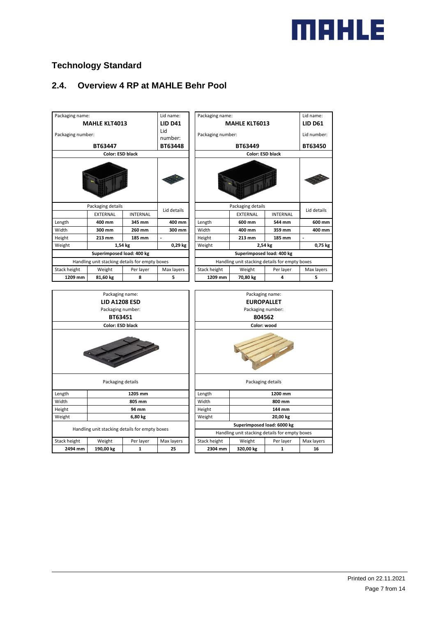# **MAHLE**

# **Technology Standard**

# <span id="page-6-0"></span>**2.4. Overview 4 RP at MAHLE Behr Pool**

| Packaging name:      |                                                                                                    |                                                | Lid name:                | Packaging name:                                                              |                                                                                    |                         | Lid name:      |  |
|----------------------|----------------------------------------------------------------------------------------------------|------------------------------------------------|--------------------------|------------------------------------------------------------------------------|------------------------------------------------------------------------------------|-------------------------|----------------|--|
| <b>MAHLE KLT4013</b> |                                                                                                    | <b>LID D41</b>                                 | <b>MAHLE KLT6013</b>     |                                                                              |                                                                                    | <b>LID D61</b>          |                |  |
|                      |                                                                                                    | Lid                                            |                          |                                                                              |                                                                                    |                         |                |  |
|                      | Packaging number:                                                                                  |                                                | number:                  | Packaging number:                                                            |                                                                                    |                         | Lid number:    |  |
|                      | BT63447                                                                                            |                                                | BT63448                  |                                                                              | BT63449                                                                            |                         | BT63450        |  |
|                      | <b>Color: ESD black</b>                                                                            |                                                |                          |                                                                              | Color: ESD black                                                                   |                         |                |  |
|                      |                                                                                                    |                                                |                          |                                                                              |                                                                                    |                         |                |  |
|                      | Packaging details                                                                                  |                                                |                          |                                                                              | Packaging details                                                                  |                         |                |  |
|                      | <b>EXTERNAL</b>                                                                                    | <b>INTERNAL</b>                                | Lid details              |                                                                              | <b>EXTERNAL</b>                                                                    | <b>INTERNAL</b>         | Lid details    |  |
| Length               | 400 mm                                                                                             | 345 mm                                         | 400 mm                   | Length                                                                       | 600 mm                                                                             | 544 mm                  | 600 mm         |  |
| Width                | 300 mm                                                                                             | 260 mm                                         | 300 mm                   | Width                                                                        | 400 mm                                                                             | 359 mm                  | 400 mm         |  |
| Height               | 213 mm                                                                                             | 185 mm                                         | $\overline{\phantom{a}}$ | Height                                                                       | 213 mm                                                                             | 185 mm                  | $\overline{a}$ |  |
| Weight               |                                                                                                    | 1,54 kg                                        | 0,29 kg                  | Weight                                                                       |                                                                                    | 2,54 kg                 | 0,75 kg        |  |
|                      | Superimposed load: 400 kg                                                                          |                                                |                          | Superimposed load: 400 kg                                                    |                                                                                    |                         |                |  |
|                      |                                                                                                    | Handling unit stacking details for empty boxes |                          | Handling unit stacking details for empty boxes                               |                                                                                    |                         |                |  |
| Stack height         | Weight                                                                                             | Per layer                                      | Max layers               | Stack height                                                                 | Weight                                                                             | Per layer               | Max layers     |  |
| 1209 mm              | 81,60 kg                                                                                           | 8                                              | 5                        | 1209 mm                                                                      | 70,80 kg                                                                           | $\overline{\mathbf{4}}$ | 5              |  |
|                      | Packaging name:<br><b>LID A1208 ESD</b><br>Packaging number:<br>BT63451<br><b>Color: ESD black</b> |                                                |                          |                                                                              | Packaging name:<br><b>EUROPALLET</b><br>Packaging number:<br>804562<br>Color: wood |                         |                |  |
|                      | Packaging details                                                                                  |                                                |                          | Packaging details                                                            |                                                                                    |                         |                |  |
| Length               |                                                                                                    | 1205 mm                                        |                          | Length<br>1200 mm                                                            |                                                                                    |                         |                |  |
| Width                |                                                                                                    | 805 mm                                         |                          | Width                                                                        |                                                                                    | 800 mm                  |                |  |
| Height               | 94 mm                                                                                              |                                                |                          | Height                                                                       | 144 mm                                                                             |                         |                |  |
| Weight               |                                                                                                    | 6,80 kg                                        |                          | Weight                                                                       |                                                                                    | 20,00 kg                |                |  |
|                      |                                                                                                    | Handling unit stacking details for empty boxes |                          | Superimposed load: 6000 kg<br>Handling unit stacking details for empty boxes |                                                                                    |                         |                |  |
| Stack height         | Weight                                                                                             | Per layer                                      | Max layers               | Stack height                                                                 | Weight                                                                             | Per layer               | Max layers     |  |
| 2494 mm              | 190,00 kg                                                                                          | $\mathbf{1}$                                   | 25                       | 2304 mm                                                                      | 320,00 kg                                                                          | $\mathbf{1}$            | 16             |  |
|                      |                                                                                                    |                                                |                          |                                                                              |                                                                                    |                         |                |  |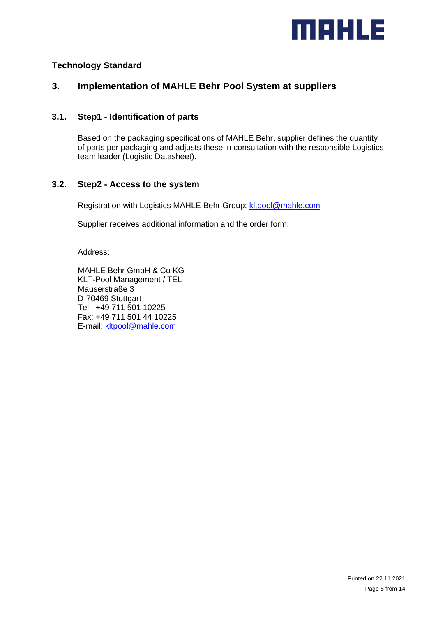

## <span id="page-7-0"></span>**3. Implementation of MAHLE Behr Pool System at suppliers**

#### <span id="page-7-1"></span>**3.1. Step1 - Identification of parts**

Based on the packaging specifications of MAHLE Behr, supplier defines the quantity of parts per packaging and adjusts these in consultation with the responsible Logistics team leader (Logistic Datasheet).

#### <span id="page-7-2"></span>**3.2. Step2 - Access to the system**

Registration with Logistics MAHLE Behr Group: kltpool@mahle.com

Supplier receives additional information and the order form.

Address:

MAHLE Behr GmbH & Co KG KLT-Pool Management / TEL Mauserstraße 3 D-70469 Stuttgart Tel: +49 711 501 10225 Fax: +49 711 501 44 10225 E-mail: kltpool@mahle.com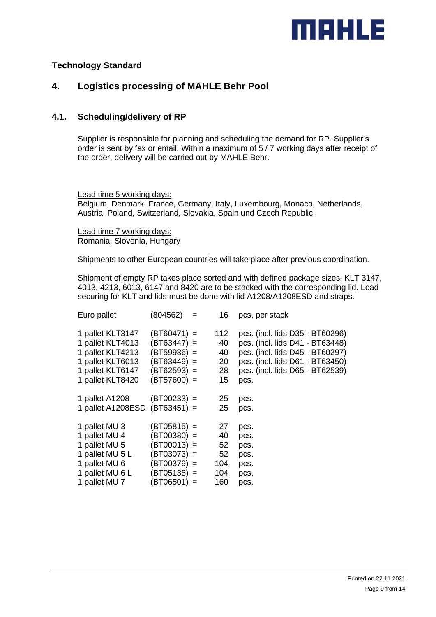

## <span id="page-8-0"></span>**4. Logistics processing of MAHLE Behr Pool**

#### <span id="page-8-1"></span>**4.1. Scheduling/delivery of RP**

Supplier is responsible for planning and scheduling the demand for RP. Supplier's order is sent by fax or email. Within a maximum of 5 / 7 working days after receipt of the order, delivery will be carried out by MAHLE Behr.

Lead time 5 working days:

Belgium, Denmark, France, Germany, Italy, Luxembourg, Monaco, Netherlands, Austria, Poland, Switzerland, Slovakia, Spain und Czech Republic.

Lead time 7 working days: Romania, Slovenia, Hungary

Shipments to other European countries will take place after previous coordination.

Shipment of empty RP takes place sorted and with defined package sizes. KLT 3147, 4013, 4213, 6013, 6147 and 8420 are to be stacked with the corresponding lid. Load securing for KLT and lids must be done with lid A1208/A1208ESD and straps.

| Euro pallet                   | $(804562) =$  | 16              | pcs. per stack                  |
|-------------------------------|---------------|-----------------|---------------------------------|
| 1 pallet KLT3147              | $(BT60471) =$ | 112             | pcs. (incl. lids D35 - BT60296) |
| 1 pallet KLT4013              | $(BT63447) =$ | 40              | pcs. (incl. lids D41 - BT63448) |
| 1 pallet KLT4213              | $(BT59936) =$ | 40              | pcs. (incl. lids D45 - BT60297) |
| 1 pallet KLT6013              | $(BT63449) =$ | 20              | pcs. (incl. lids D61 - BT63450) |
| 1 pallet KLT6147              | $(BT62593) =$ | 28              | pcs. (incl. lids D65 - BT62539) |
| 1 pallet KLT8420              | $(BT57600) =$ | 15 <sub>1</sub> | pcs.                            |
| 1 pallet A1208 $(BT00233) =$  |               | 25              | pcs.                            |
| 1 pallet A1208ESD (BT63451) = |               | 25              | pcs.                            |
| 1 pallet MU 3                 | $(BT05815) =$ | 27              | pcs.                            |
| 1 pallet MU 4                 | $(BT00380) =$ | 40              | pcs.                            |
| 1 pallet MU 5                 | $(BT00013) =$ | 52              | pcs.                            |
| 1 pallet MU 5 L               | $(BT03073) =$ | 52              | pcs.                            |
| 1 pallet MU 6                 | $(BT00379) =$ | 104             | pcs.                            |
| 1 pallet MU 6 L               | $(BT05138) =$ | 104             | pcs.                            |
| 1 pallet MU 7                 | $(BT06501) =$ | 160             | pcs.                            |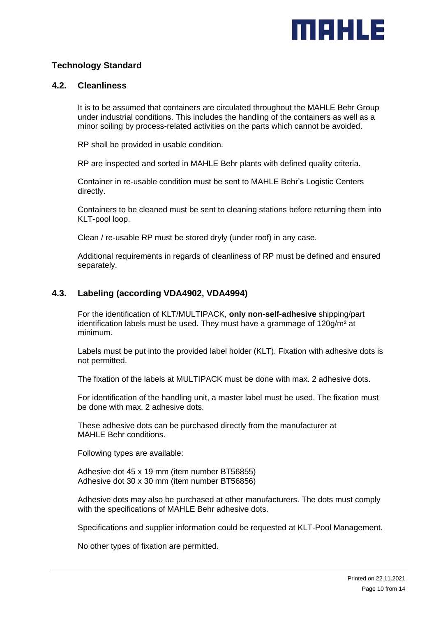

#### <span id="page-9-0"></span>**4.2. Cleanliness**

It is to be assumed that containers are circulated throughout the MAHLE Behr Group under industrial conditions. This includes the handling of the containers as well as a minor soiling by process-related activities on the parts which cannot be avoided.

RP shall be provided in usable condition.

RP are inspected and sorted in MAHLE Behr plants with defined quality criteria.

Container in re-usable condition must be sent to MAHLE Behr's Logistic Centers directly.

Containers to be cleaned must be sent to cleaning stations before returning them into KLT-pool loop.

Clean / re-usable RP must be stored dryly (under roof) in any case.

Additional requirements in regards of cleanliness of RP must be defined and ensured separately.

#### <span id="page-9-1"></span>**4.3. Labeling (according VDA4902, VDA4994)**

For the identification of KLT/MULTIPACK, **only non-self-adhesive** shipping/part identification labels must be used. They must have a grammage of 120g/m² at minimum.

Labels must be put into the provided label holder (KLT). Fixation with adhesive dots is not permitted.

The fixation of the labels at MULTIPACK must be done with max. 2 adhesive dots.

For identification of the handling unit, a master label must be used. The fixation must be done with max. 2 adhesive dots.

These adhesive dots can be purchased directly from the manufacturer at MAHLE Behr conditions.

Following types are available:

Adhesive dot 45 x 19 mm (item number BT56855) Adhesive dot 30 x 30 mm (item number BT56856)

Adhesive dots may also be purchased at other manufacturers. The dots must comply with the specifications of MAHLE Behr adhesive dots.

Specifications and supplier information could be requested at KLT-Pool Management.

No other types of fixation are permitted.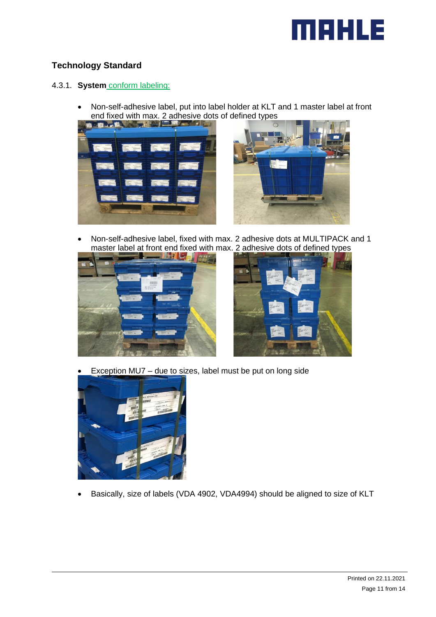

#### <span id="page-10-0"></span>4.3.1. **System** conform labeling:

• Non-self-adhesive label, put into label holder at KLT and 1 master label at front end fixed with max. 2 adhesive dots of defined types





• Non-self-adhesive label, fixed with max. 2 adhesive dots at MULTIPACK and 1 master label at front end fixed with max. 2 adhesive dots of defined types





• Exception MU7 – due to sizes, label must be put on long side



• Basically, size of labels (VDA 4902, VDA4994) should be aligned to size of KLT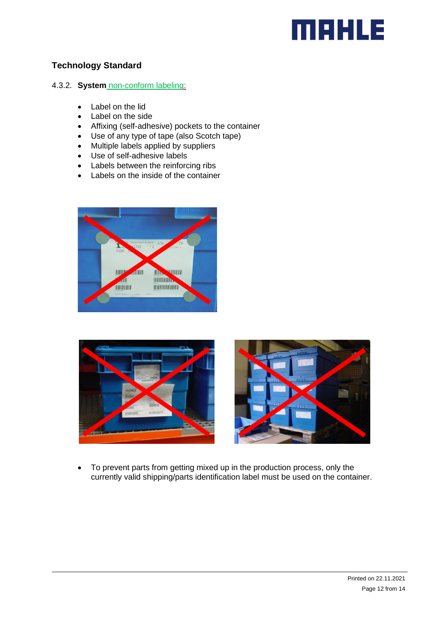# MAHLE

## **Technology Standard**

# <span id="page-11-0"></span>4.3.2. **System** non-conform labeling:

- Label on the lid
- Label on the side
- Affixing (self-adhesive) pockets to the container
- Use of any type of tape (also Scotch tape)
- Multiple labels applied by suppliers
- Use of self-adhesive labels
- Labels between the reinforcing ribs
- Labels on the inside of the container





• To prevent parts from getting mixed up in the production process, only the currently valid shipping/parts identification label must be used on the container.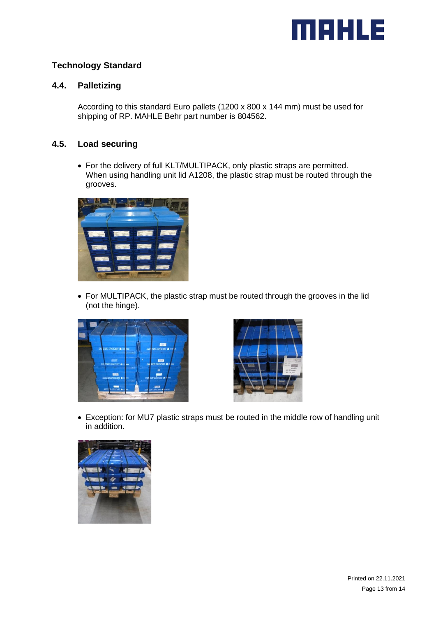

#### <span id="page-12-0"></span>**4.4. Palletizing**

According to this standard Euro pallets (1200 x 800 x 144 mm) must be used for shipping of RP. MAHLE Behr part number is 804562.

#### <span id="page-12-1"></span>**4.5. Load securing**

• For the delivery of full KLT/MULTIPACK, only plastic straps are permitted. When using handling unit lid A1208, the plastic strap must be routed through the grooves.



• For MULTIPACK, the plastic strap must be routed through the grooves in the lid (not the hinge).





• Exception: for MU7 plastic straps must be routed in the middle row of handling unit in addition.